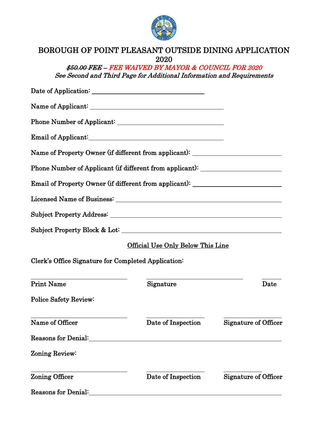

## BOROUGH OF POINT PLEASANT OUTSIDE DINING APPLICATION 2020

\$50.00 FEE – FEE WAIVED BY MAYOR & COUNCIL FOR 2020 See Second and Third Page for Additional Information and Requirements

|                                                                                                                | Email of Applicant: Note that the set of the set of the set of the set of the set of the set of the set of the |                             |
|----------------------------------------------------------------------------------------------------------------|----------------------------------------------------------------------------------------------------------------|-----------------------------|
|                                                                                                                | Name of Property Owner (if different from applicant): __________________________                               |                             |
|                                                                                                                | Phone Number of Applicant (if different from applicant): _______________________                               |                             |
|                                                                                                                | Email of Property Owner (if different from applicant): _________________________                               |                             |
|                                                                                                                |                                                                                                                |                             |
|                                                                                                                |                                                                                                                |                             |
|                                                                                                                |                                                                                                                |                             |
|                                                                                                                | Official Use Only Below This Line                                                                              |                             |
| Clerk's Office Signature for Completed Application:                                                            |                                                                                                                |                             |
| <u> 1989 - Johann Barn, fransk politik (d. 1989)</u><br><b>Print Name</b>                                      | Signature                                                                                                      | Date                        |
| <b>Police Safety Review:</b>                                                                                   |                                                                                                                |                             |
| Name of Officer                                                                                                | Date of Inspection                                                                                             | <b>Signature of Officer</b> |
| Reasons for Denial: Note that the set of the set of the set of the set of the set of the set of the set of the |                                                                                                                |                             |
| Zoning Review:                                                                                                 |                                                                                                                |                             |
| <b>Zoning Officer</b>                                                                                          | Date of Inspection                                                                                             | <b>Signature of Officer</b> |
| <b>Reasons for Denial:</b>                                                                                     |                                                                                                                |                             |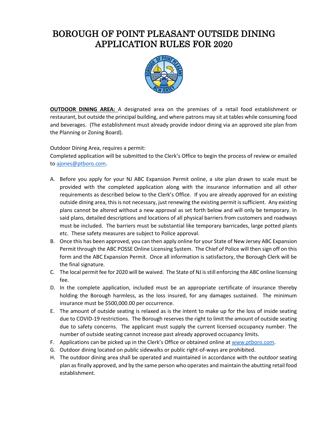## BOROUGH OF POINT PLEASANT OUTSIDE DINING APPLICATION RULES FOR 2020



**OUTDOOR DINING AREA:** A designated area on the premises of a retail food establishment or restaurant, but outside the principal building, and where patrons may sit at tables while consuming food and beverages. (The establishment must already provide indoor dining via an approved site plan from the Planning or Zoning Board).

Outdoor Dining Area, requires a permit:

Completed application will be submitted to the Clerk's Office to begin the process of review or emailed t[o ajones@ptboro.com.](mailto:ajones@ptboro.com)

- A. Before you apply for your NJ ABC Expansion Permit online, a site plan drawn to scale must be provided with the completed application along with the insurance information and all other requirements as described below to the Clerk's Office. If you are already approved for an existing outside dining area, this is not necessary, just renewing the existing permit is sufficient. Any existing plans cannot be altered without a new approval as set forth below and will only be temporary. In said plans, detailed descriptions and locations of all physical barriers from customers and roadways must be included. The barriers must be substantial like temporary barricades, large potted plants etc. These safety measures are subject to Police approval.
- B. Once this has been approved, you can then apply online for your State of New Jersey ABC Expansion Permit through the ABC POSSE Online Licensing System. The Chief of Police will then sign off on this form and the ABC Expansion Permit. Once all information is satisfactory, the Borough Clerk will be the final signature.
- C. The local permit fee for 2020 will be waived. The State of NJ is still enforcing the ABC online licensing fee.
- D. In the complete application, included must be an appropriate certificate of insurance thereby holding the Borough harmless, as the loss insured, for any damages sustained. The minimum insurance must be \$500,000.00 per occurrence.
- E. The amount of outside seating is relaxed as is the intent to make up for the loss of inside seating due to COVID-19 restrictions. The Borough reserves the right to limit the amount of outside seating due to safety concerns. The applicant must supply the current licensed occupancy number. The number of outside seating cannot increase past already approved occupancy limits.
- F. Applications can be picked up in the Clerk's Office or obtained online at [www.ptboro.com.](http://www.ptboro.com/)
- G. Outdoor dining located on public sidewalks or public right-of-ways are prohibited.
- H. The outdoor dining area shall be operated and maintained in accordance with the outdoor seating plan as finally approved, and by the same person who operates and maintain the abutting retail food establishment.